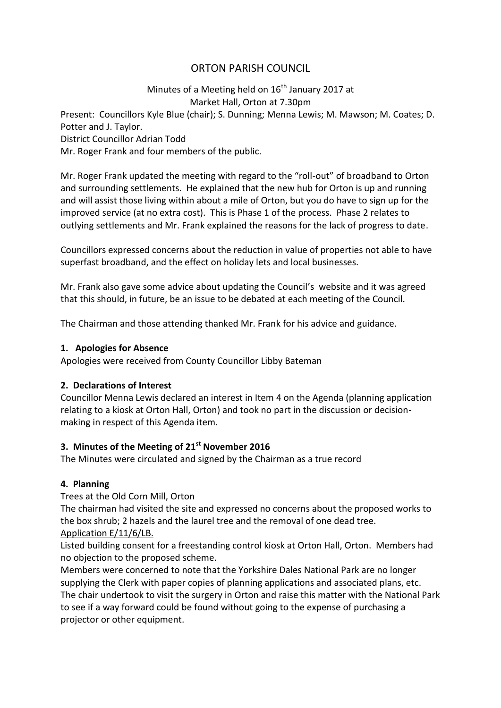# ORTON PARISH COUNCIL

### Minutes of a Meeting held on  $16<sup>th</sup>$  January 2017 at Market Hall, Orton at 7.30pm

Present: Councillors Kyle Blue (chair); S. Dunning; Menna Lewis; M. Mawson; M. Coates; D. Potter and J. Taylor.

District Councillor Adrian Todd

Mr. Roger Frank and four members of the public.

Mr. Roger Frank updated the meeting with regard to the "roll-out" of broadband to Orton and surrounding settlements. He explained that the new hub for Orton is up and running and will assist those living within about a mile of Orton, but you do have to sign up for the improved service (at no extra cost). This is Phase 1 of the process. Phase 2 relates to outlying settlements and Mr. Frank explained the reasons for the lack of progress to date.

Councillors expressed concerns about the reduction in value of properties not able to have superfast broadband, and the effect on holiday lets and local businesses.

Mr. Frank also gave some advice about updating the Council's website and it was agreed that this should, in future, be an issue to be debated at each meeting of the Council.

The Chairman and those attending thanked Mr. Frank for his advice and guidance.

#### **1. Apologies for Absence**

Apologies were received from County Councillor Libby Bateman

### **2. Declarations of Interest**

Councillor Menna Lewis declared an interest in Item 4 on the Agenda (planning application relating to a kiosk at Orton Hall, Orton) and took no part in the discussion or decisionmaking in respect of this Agenda item.

### **3. Minutes of the Meeting of 21st November 2016**

The Minutes were circulated and signed by the Chairman as a true record

### **4. Planning**

### Trees at the Old Corn Mill, Orton

The chairman had visited the site and expressed no concerns about the proposed works to the box shrub; 2 hazels and the laurel tree and the removal of one dead tree.

## Application E/11/6/LB.

Listed building consent for a freestanding control kiosk at Orton Hall, Orton. Members had no objection to the proposed scheme.

Members were concerned to note that the Yorkshire Dales National Park are no longer supplying the Clerk with paper copies of planning applications and associated plans, etc. The chair undertook to visit the surgery in Orton and raise this matter with the National Park to see if a way forward could be found without going to the expense of purchasing a projector or other equipment.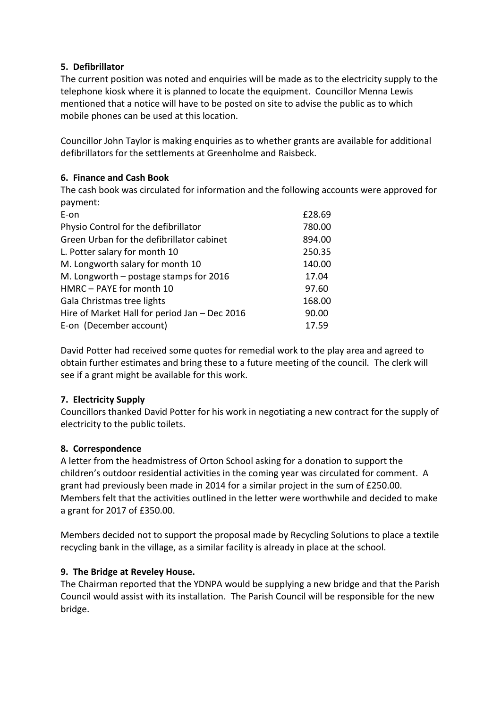### **5. Defibrillator**

The current position was noted and enquiries will be made as to the electricity supply to the telephone kiosk where it is planned to locate the equipment. Councillor Menna Lewis mentioned that a notice will have to be posted on site to advise the public as to which mobile phones can be used at this location.

Councillor John Taylor is making enquiries as to whether grants are available for additional defibrillators for the settlements at Greenholme and Raisbeck.

### **6. Finance and Cash Book**

The cash book was circulated for information and the following accounts were approved for payment:

| E-on                                          | £28.69 |
|-----------------------------------------------|--------|
| Physio Control for the defibrillator          | 780.00 |
| Green Urban for the defibrillator cabinet     | 894.00 |
| L. Potter salary for month 10                 | 250.35 |
| M. Longworth salary for month 10              | 140.00 |
| M. Longworth $-$ postage stamps for 2016      | 17.04  |
| HMRC - PAYE for month 10                      | 97.60  |
| Gala Christmas tree lights                    | 168.00 |
| Hire of Market Hall for period Jan - Dec 2016 | 90.00  |
| E-on (December account)                       | 17.59  |

David Potter had received some quotes for remedial work to the play area and agreed to obtain further estimates and bring these to a future meeting of the council. The clerk will see if a grant might be available for this work.

### **7. Electricity Supply**

Councillors thanked David Potter for his work in negotiating a new contract for the supply of electricity to the public toilets.

### **8. Correspondence**

A letter from the headmistress of Orton School asking for a donation to support the children's outdoor residential activities in the coming year was circulated for comment. A grant had previously been made in 2014 for a similar project in the sum of £250.00. Members felt that the activities outlined in the letter were worthwhile and decided to make a grant for 2017 of £350.00.

Members decided not to support the proposal made by Recycling Solutions to place a textile recycling bank in the village, as a similar facility is already in place at the school.

# **9. The Bridge at Reveley House.**

The Chairman reported that the YDNPA would be supplying a new bridge and that the Parish Council would assist with its installation. The Parish Council will be responsible for the new bridge.